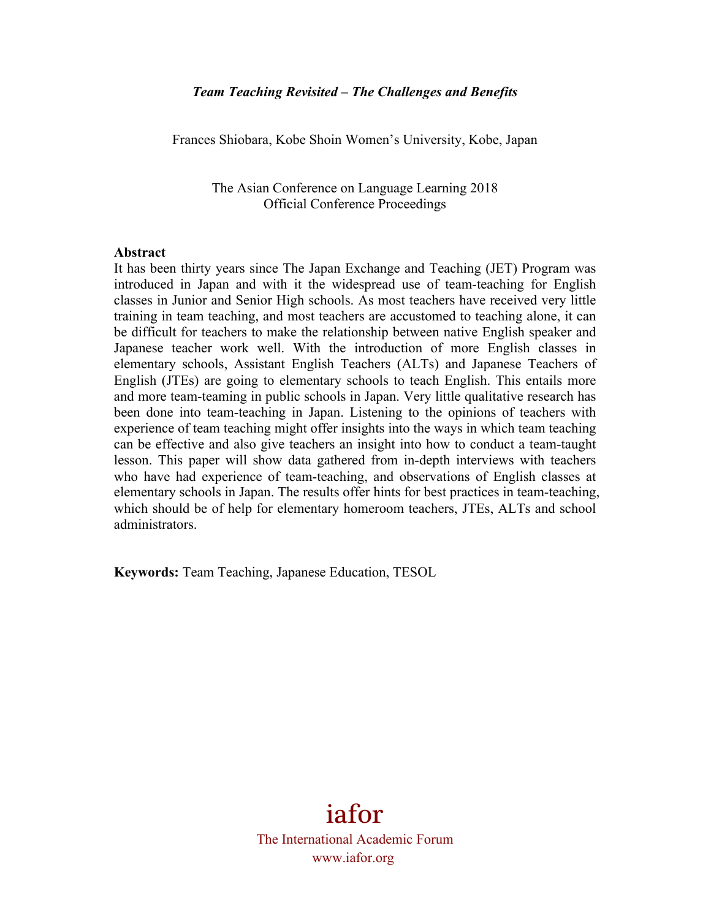Frances Shiobara, Kobe Shoin Women's University, Kobe, Japan

The Asian Conference on Language Learning 2018 Official Conference Proceedings

#### **Abstract**

It has been thirty years since The Japan Exchange and Teaching (JET) Program was introduced in Japan and with it the widespread use of team-teaching for English classes in Junior and Senior High schools. As most teachers have received very little training in team teaching, and most teachers are accustomed to teaching alone, it can be difficult for teachers to make the relationship between native English speaker and Japanese teacher work well. With the introduction of more English classes in elementary schools, Assistant English Teachers (ALTs) and Japanese Teachers of English (JTEs) are going to elementary schools to teach English. This entails more and more team-teaming in public schools in Japan. Very little qualitative research has been done into team-teaching in Japan. Listening to the opinions of teachers with experience of team teaching might offer insights into the ways in which team teaching can be effective and also give teachers an insight into how to conduct a team-taught lesson. This paper will show data gathered from in-depth interviews with teachers who have had experience of team-teaching, and observations of English classes at elementary schools in Japan. The results offer hints for best practices in team-teaching, which should be of help for elementary homeroom teachers, JTEs, ALTs and school administrators.

**Keywords:** Team Teaching, Japanese Education, TESOL

iafor The International Academic Forum www.iafor.org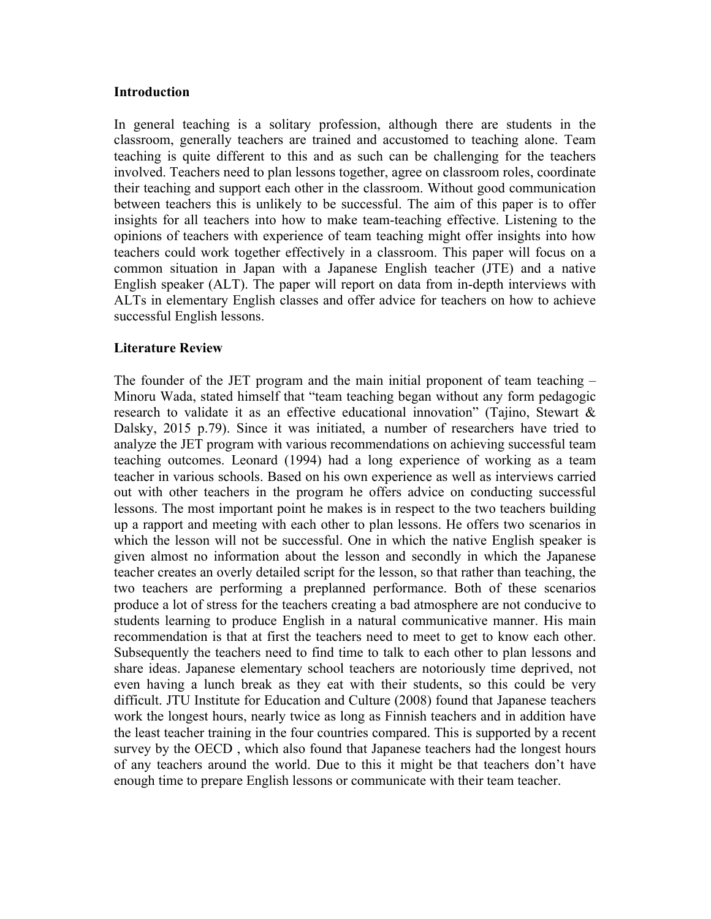#### **Introduction**

In general teaching is a solitary profession, although there are students in the classroom, generally teachers are trained and accustomed to teaching alone. Team teaching is quite different to this and as such can be challenging for the teachers involved. Teachers need to plan lessons together, agree on classroom roles, coordinate their teaching and support each other in the classroom. Without good communication between teachers this is unlikely to be successful. The aim of this paper is to offer insights for all teachers into how to make team-teaching effective. Listening to the opinions of teachers with experience of team teaching might offer insights into how teachers could work together effectively in a classroom. This paper will focus on a common situation in Japan with a Japanese English teacher (JTE) and a native English speaker (ALT). The paper will report on data from in-depth interviews with ALTs in elementary English classes and offer advice for teachers on how to achieve successful English lessons.

### **Literature Review**

The founder of the JET program and the main initial proponent of team teaching – Minoru Wada, stated himself that "team teaching began without any form pedagogic research to validate it as an effective educational innovation" (Tajino, Stewart & Dalsky, 2015 p.79). Since it was initiated, a number of researchers have tried to analyze the JET program with various recommendations on achieving successful team teaching outcomes. Leonard (1994) had a long experience of working as a team teacher in various schools. Based on his own experience as well as interviews carried out with other teachers in the program he offers advice on conducting successful lessons. The most important point he makes is in respect to the two teachers building up a rapport and meeting with each other to plan lessons. He offers two scenarios in which the lesson will not be successful. One in which the native English speaker is given almost no information about the lesson and secondly in which the Japanese teacher creates an overly detailed script for the lesson, so that rather than teaching, the two teachers are performing a preplanned performance. Both of these scenarios produce a lot of stress for the teachers creating a bad atmosphere are not conducive to students learning to produce English in a natural communicative manner. His main recommendation is that at first the teachers need to meet to get to know each other. Subsequently the teachers need to find time to talk to each other to plan lessons and share ideas. Japanese elementary school teachers are notoriously time deprived, not even having a lunch break as they eat with their students, so this could be very difficult. JTU Institute for Education and Culture (2008) found that Japanese teachers work the longest hours, nearly twice as long as Finnish teachers and in addition have the least teacher training in the four countries compared. This is supported by a recent survey by the OECD , which also found that Japanese teachers had the longest hours of any teachers around the world. Due to this it might be that teachers don't have enough time to prepare English lessons or communicate with their team teacher.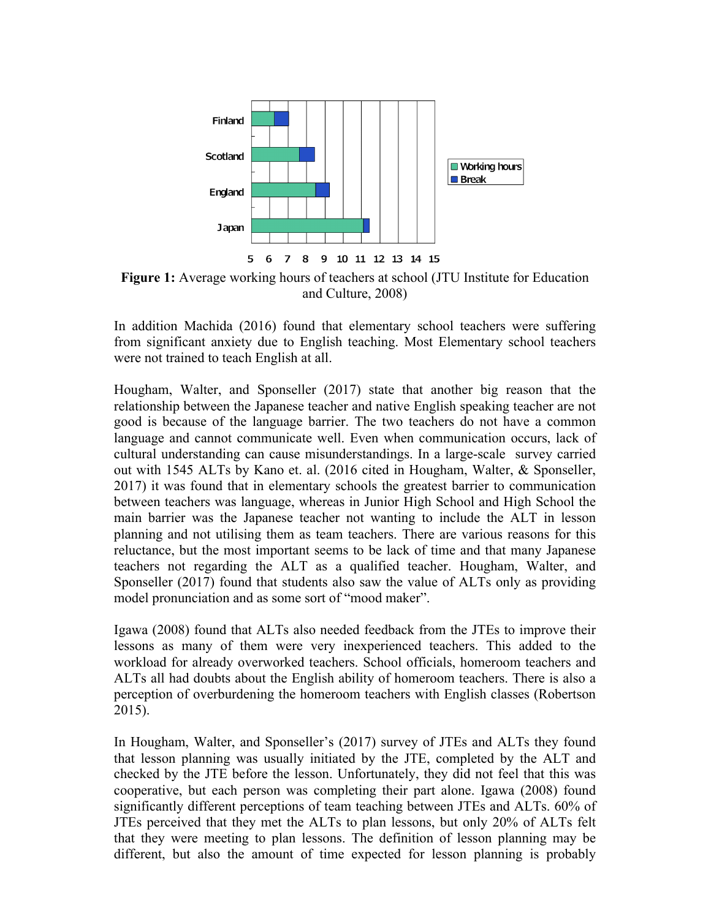

**Figure 1:** Average working hours of teachers at school (JTU Institute for Education and Culture, 2008)

In addition Machida (2016) found that elementary school teachers were suffering from significant anxiety due to English teaching. Most Elementary school teachers were not trained to teach English at all.

Hougham, Walter, and Sponseller (2017) state that another big reason that the relationship between the Japanese teacher and native English speaking teacher are not good is because of the language barrier. The two teachers do not have a common language and cannot communicate well. Even when communication occurs, lack of cultural understanding can cause misunderstandings. In a large-scale survey carried out with 1545 ALTs by Kano et. al. (2016 cited in Hougham, Walter, & Sponseller, 2017) it was found that in elementary schools the greatest barrier to communication between teachers was language, whereas in Junior High School and High School the main barrier was the Japanese teacher not wanting to include the ALT in lesson planning and not utilising them as team teachers. There are various reasons for this reluctance, but the most important seems to be lack of time and that many Japanese teachers not regarding the ALT as a qualified teacher. Hougham, Walter, and Sponseller (2017) found that students also saw the value of ALTs only as providing model pronunciation and as some sort of "mood maker".

Igawa (2008) found that ALTs also needed feedback from the JTEs to improve their lessons as many of them were very inexperienced teachers. This added to the workload for already overworked teachers. School officials, homeroom teachers and ALTs all had doubts about the English ability of homeroom teachers. There is also a perception of overburdening the homeroom teachers with English classes (Robertson 2015).

In Hougham, Walter, and Sponseller's (2017) survey of JTEs and ALTs they found that lesson planning was usually initiated by the JTE, completed by the ALT and checked by the JTE before the lesson. Unfortunately, they did not feel that this was cooperative, but each person was completing their part alone. Igawa (2008) found significantly different perceptions of team teaching between JTEs and ALTs. 60% of JTEs perceived that they met the ALTs to plan lessons, but only 20% of ALTs felt that they were meeting to plan lessons. The definition of lesson planning may be different, but also the amount of time expected for lesson planning is probably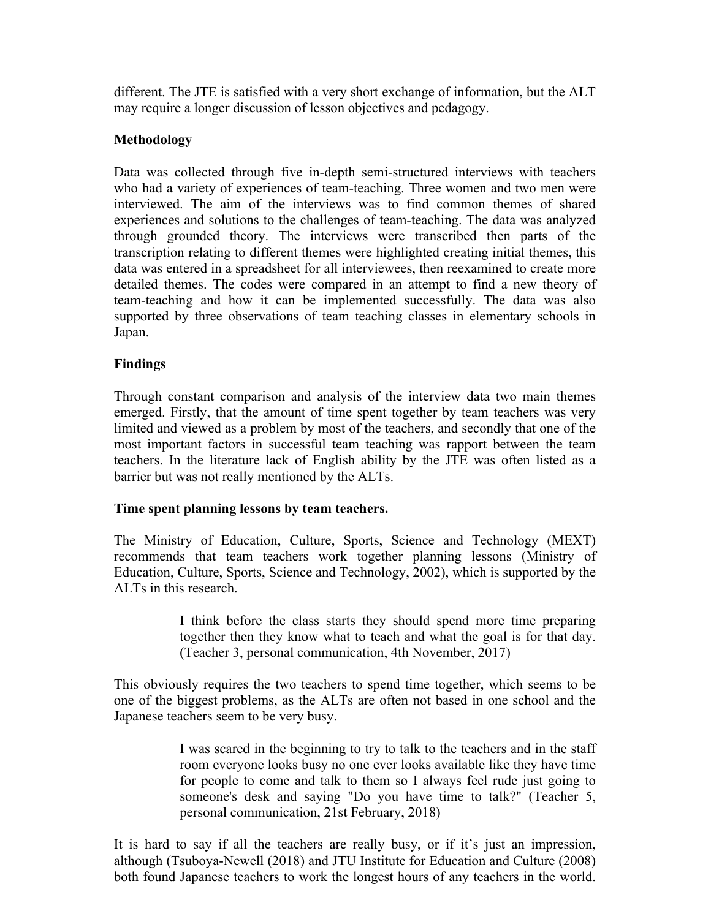different. The JTE is satisfied with a very short exchange of information, but the ALT may require a longer discussion of lesson objectives and pedagogy.

# **Methodology**

Data was collected through five in-depth semi-structured interviews with teachers who had a variety of experiences of team-teaching. Three women and two men were interviewed. The aim of the interviews was to find common themes of shared experiences and solutions to the challenges of team-teaching. The data was analyzed through grounded theory. The interviews were transcribed then parts of the transcription relating to different themes were highlighted creating initial themes, this data was entered in a spreadsheet for all interviewees, then reexamined to create more detailed themes. The codes were compared in an attempt to find a new theory of team-teaching and how it can be implemented successfully. The data was also supported by three observations of team teaching classes in elementary schools in Japan.

# **Findings**

Through constant comparison and analysis of the interview data two main themes emerged. Firstly, that the amount of time spent together by team teachers was very limited and viewed as a problem by most of the teachers, and secondly that one of the most important factors in successful team teaching was rapport between the team teachers. In the literature lack of English ability by the JTE was often listed as a barrier but was not really mentioned by the ALTs.

## **Time spent planning lessons by team teachers.**

The Ministry of Education, Culture, Sports, Science and Technology (MEXT) recommends that team teachers work together planning lessons (Ministry of Education, Culture, Sports, Science and Technology, 2002), which is supported by the ALTs in this research.

> I think before the class starts they should spend more time preparing together then they know what to teach and what the goal is for that day. (Teacher 3, personal communication, 4th November, 2017)

This obviously requires the two teachers to spend time together, which seems to be one of the biggest problems, as the ALTs are often not based in one school and the Japanese teachers seem to be very busy.

> I was scared in the beginning to try to talk to the teachers and in the staff room everyone looks busy no one ever looks available like they have time for people to come and talk to them so I always feel rude just going to someone's desk and saying "Do you have time to talk?" (Teacher 5, personal communication, 21st February, 2018)

It is hard to say if all the teachers are really busy, or if it's just an impression, although (Tsuboya-Newell (2018) and JTU Institute for Education and Culture (2008) both found Japanese teachers to work the longest hours of any teachers in the world.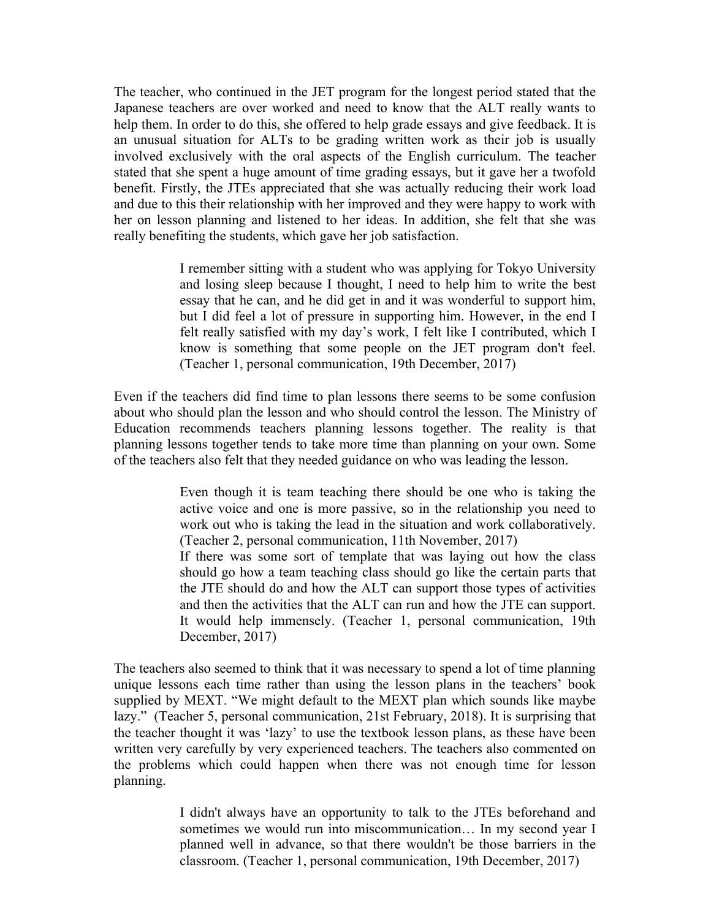The teacher, who continued in the JET program for the longest period stated that the Japanese teachers are over worked and need to know that the ALT really wants to help them. In order to do this, she offered to help grade essays and give feedback. It is an unusual situation for ALTs to be grading written work as their job is usually involved exclusively with the oral aspects of the English curriculum. The teacher stated that she spent a huge amount of time grading essays, but it gave her a twofold benefit. Firstly, the JTEs appreciated that she was actually reducing their work load and due to this their relationship with her improved and they were happy to work with her on lesson planning and listened to her ideas. In addition, she felt that she was really benefiting the students, which gave her job satisfaction.

> I remember sitting with a student who was applying for Tokyo University and losing sleep because I thought, I need to help him to write the best essay that he can, and he did get in and it was wonderful to support him, but I did feel a lot of pressure in supporting him. However, in the end I felt really satisfied with my day's work, I felt like I contributed, which I know is something that some people on the JET program don't feel. (Teacher 1, personal communication, 19th December, 2017)

Even if the teachers did find time to plan lessons there seems to be some confusion about who should plan the lesson and who should control the lesson. The Ministry of Education recommends teachers planning lessons together. The reality is that planning lessons together tends to take more time than planning on your own. Some of the teachers also felt that they needed guidance on who was leading the lesson.

> Even though it is team teaching there should be one who is taking the active voice and one is more passive, so in the relationship you need to work out who is taking the lead in the situation and work collaboratively. (Teacher 2, personal communication, 11th November, 2017)

> If there was some sort of template that was laying out how the class should go how a team teaching class should go like the certain parts that the JTE should do and how the ALT can support those types of activities and then the activities that the ALT can run and how the JTE can support. It would help immensely. (Teacher 1, personal communication, 19th December, 2017)

The teachers also seemed to think that it was necessary to spend a lot of time planning unique lessons each time rather than using the lesson plans in the teachers' book supplied by MEXT. "We might default to the MEXT plan which sounds like maybe lazy." (Teacher 5, personal communication, 21st February, 2018). It is surprising that the teacher thought it was 'lazy' to use the textbook lesson plans, as these have been written very carefully by very experienced teachers. The teachers also commented on the problems which could happen when there was not enough time for lesson planning.

> I didn't always have an opportunity to talk to the JTEs beforehand and sometimes we would run into miscommunication… In my second year I planned well in advance, so that there wouldn't be those barriers in the classroom. (Teacher 1, personal communication, 19th December, 2017)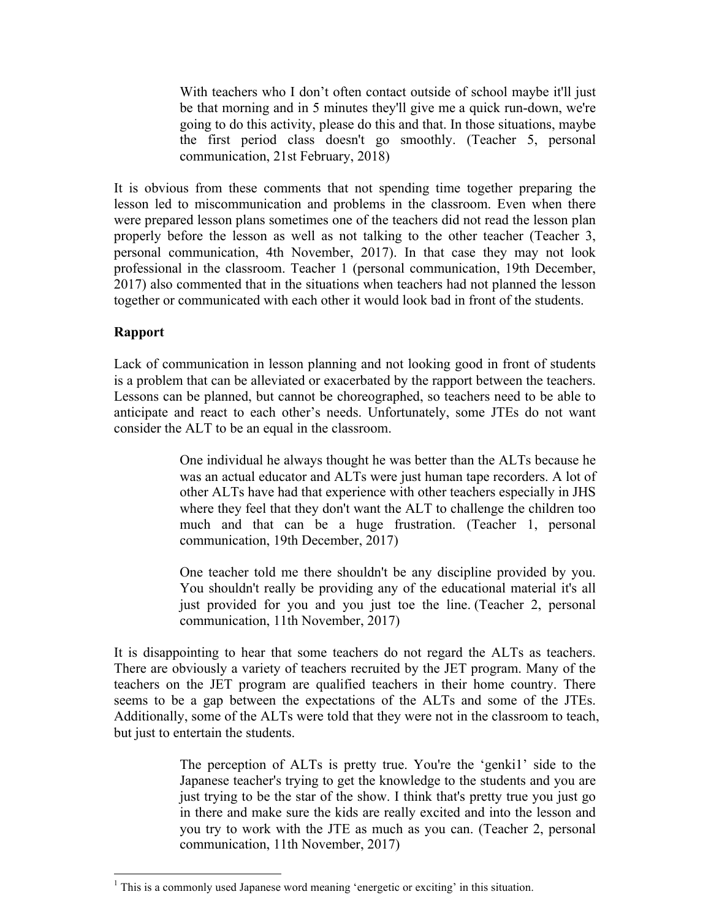With teachers who I don't often contact outside of school maybe it'll just be that morning and in 5 minutes they'll give me a quick run-down, we're going to do this activity, please do this and that. In those situations, maybe the first period class doesn't go smoothly. (Teacher 5, personal communication, 21st February, 2018)

It is obvious from these comments that not spending time together preparing the lesson led to miscommunication and problems in the classroom. Even when there were prepared lesson plans sometimes one of the teachers did not read the lesson plan properly before the lesson as well as not talking to the other teacher (Teacher 3, personal communication, 4th November, 2017). In that case they may not look professional in the classroom. Teacher 1 (personal communication, 19th December, 2017) also commented that in the situations when teachers had not planned the lesson together or communicated with each other it would look bad in front of the students.

## **Rapport**

Lack of communication in lesson planning and not looking good in front of students is a problem that can be alleviated or exacerbated by the rapport between the teachers. Lessons can be planned, but cannot be choreographed, so teachers need to be able to anticipate and react to each other's needs. Unfortunately, some JTEs do not want consider the ALT to be an equal in the classroom.

> One individual he always thought he was better than the ALTs because he was an actual educator and ALTs were just human tape recorders. A lot of other ALTs have had that experience with other teachers especially in JHS where they feel that they don't want the ALT to challenge the children too much and that can be a huge frustration. (Teacher 1, personal communication, 19th December, 2017)

> One teacher told me there shouldn't be any discipline provided by you. You shouldn't really be providing any of the educational material it's all just provided for you and you just toe the line. (Teacher 2, personal communication, 11th November, 2017)

It is disappointing to hear that some teachers do not regard the ALTs as teachers. There are obviously a variety of teachers recruited by the JET program. Many of the teachers on the JET program are qualified teachers in their home country. There seems to be a gap between the expectations of the ALTs and some of the JTEs. Additionally, some of the ALTs were told that they were not in the classroom to teach, but just to entertain the students.

> The perception of ALTs is pretty true. You're the 'genki1' side to the Japanese teacher's trying to get the knowledge to the students and you are just trying to be the star of the show. I think that's pretty true you just go in there and make sure the kids are really excited and into the lesson and you try to work with the JTE as much as you can. (Teacher 2, personal communication, 11th November, 2017)

 

 $<sup>1</sup>$  This is a commonly used Japanese word meaning 'energetic or exciting' in this situation.</sup>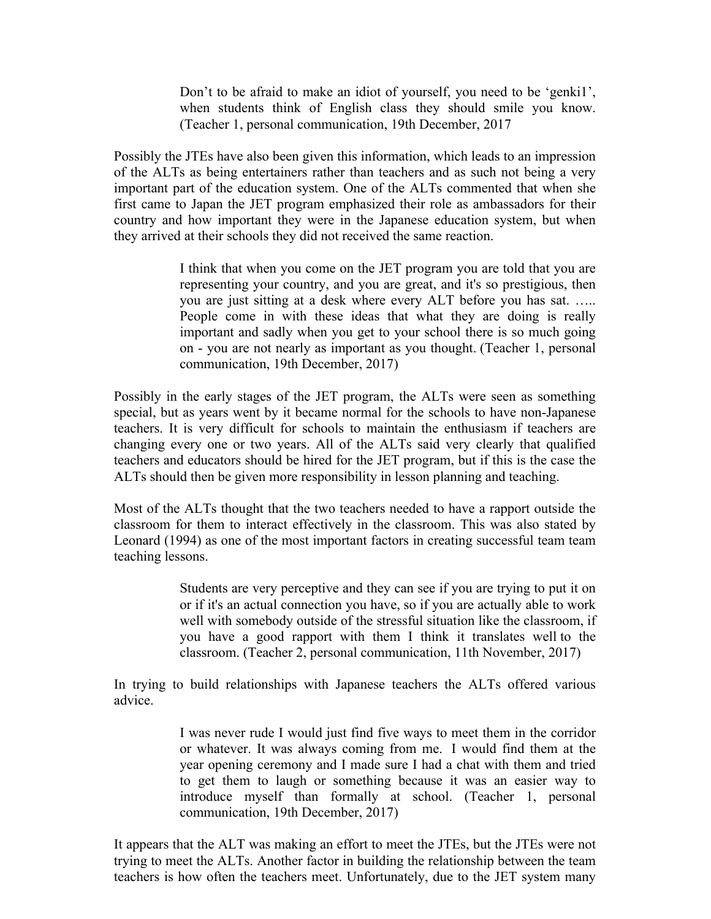Don't to be afraid to make an idiot of yourself, you need to be 'genki1', when students think of English class they should smile you know. (Teacher 1, personal communication, 19th December, 2017

Possibly the JTEs have also been given this information, which leads to an impression of the ALTs as being entertainers rather than teachers and as such not being a very important part of the education system. One of the ALTs commented that when she first came to Japan the JET program emphasized their role as ambassadors for their country and how important they were in the Japanese education system, but when they arrived at their schools they did not received the same reaction.

> I think that when you come on the JET program you are told that you are representing your country, and you are great, and it's so prestigious, then you are just sitting at a desk where every ALT before you has sat. ….. People come in with these ideas that what they are doing is really important and sadly when you get to your school there is so much going on - you are not nearly as important as you thought. (Teacher 1, personal communication, 19th December, 2017)

Possibly in the early stages of the JET program, the ALTs were seen as something special, but as years went by it became normal for the schools to have non-Japanese teachers. It is very difficult for schools to maintain the enthusiasm if teachers are changing every one or two years. All of the ALTs said very clearly that qualified teachers and educators should be hired for the JET program, but if this is the case the ALTs should then be given more responsibility in lesson planning and teaching.

Most of the ALTs thought that the two teachers needed to have a rapport outside the classroom for them to interact effectively in the classroom. This was also stated by Leonard (1994) as one of the most important factors in creating successful team team teaching lessons.

> Students are very perceptive and they can see if you are trying to put it on or if it's an actual connection you have, so if you are actually able to work well with somebody outside of the stressful situation like the classroom, if you have a good rapport with them I think it translates well to the classroom. (Teacher 2, personal communication, 11th November, 2017)

In trying to build relationships with Japanese teachers the ALTs offered various advice.

> I was never rude I would just find five ways to meet them in the corridor or whatever. It was always coming from me. I would find them at the year opening ceremony and I made sure I had a chat with them and tried to get them to laugh or something because it was an easier way to introduce myself than formally at school. (Teacher 1, personal communication, 19th December, 2017)

It appears that the ALT was making an effort to meet the JTEs, but the JTEs were not trying to meet the ALTs. Another factor in building the relationship between the team teachers is how often the teachers meet. Unfortunately, due to the JET system many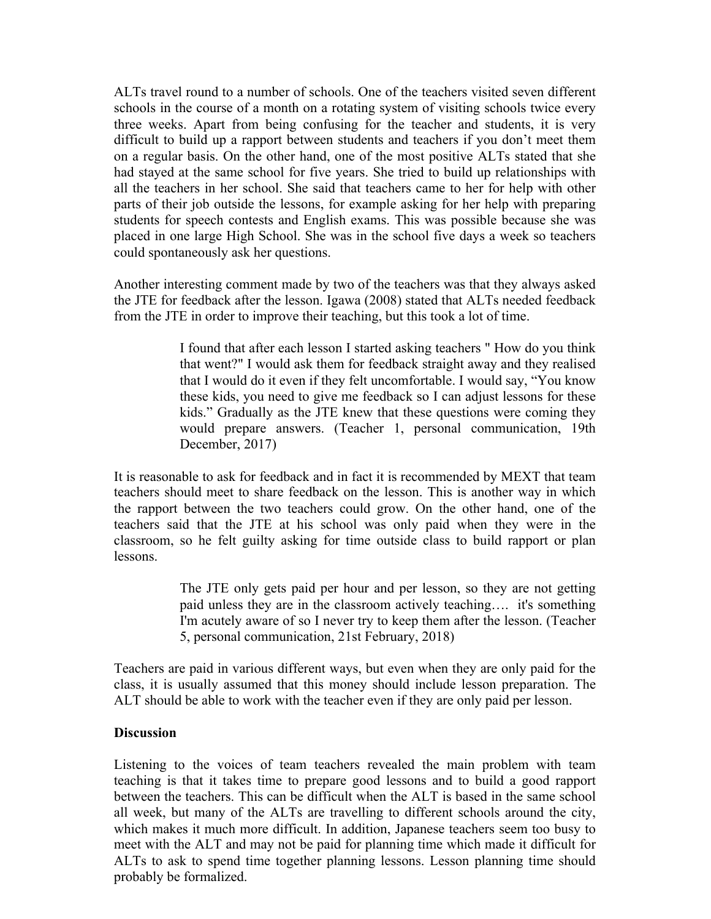ALTs travel round to a number of schools. One of the teachers visited seven different schools in the course of a month on a rotating system of visiting schools twice every three weeks. Apart from being confusing for the teacher and students, it is very difficult to build up a rapport between students and teachers if you don't meet them on a regular basis. On the other hand, one of the most positive ALTs stated that she had stayed at the same school for five years. She tried to build up relationships with all the teachers in her school. She said that teachers came to her for help with other parts of their job outside the lessons, for example asking for her help with preparing students for speech contests and English exams. This was possible because she was placed in one large High School. She was in the school five days a week so teachers could spontaneously ask her questions.

Another interesting comment made by two of the teachers was that they always asked the JTE for feedback after the lesson. Igawa (2008) stated that ALTs needed feedback from the JTE in order to improve their teaching, but this took a lot of time.

> I found that after each lesson I started asking teachers " How do you think that went?" I would ask them for feedback straight away and they realised that I would do it even if they felt uncomfortable. I would say, "You know these kids, you need to give me feedback so I can adjust lessons for these kids." Gradually as the JTE knew that these questions were coming they would prepare answers. (Teacher 1, personal communication, 19th December, 2017)

It is reasonable to ask for feedback and in fact it is recommended by MEXT that team teachers should meet to share feedback on the lesson. This is another way in which the rapport between the two teachers could grow. On the other hand, one of the teachers said that the JTE at his school was only paid when they were in the classroom, so he felt guilty asking for time outside class to build rapport or plan lessons.

> The JTE only gets paid per hour and per lesson, so they are not getting paid unless they are in the classroom actively teaching…. it's something I'm acutely aware of so I never try to keep them after the lesson. (Teacher 5, personal communication, 21st February, 2018)

Teachers are paid in various different ways, but even when they are only paid for the class, it is usually assumed that this money should include lesson preparation. The ALT should be able to work with the teacher even if they are only paid per lesson.

### **Discussion**

Listening to the voices of team teachers revealed the main problem with team teaching is that it takes time to prepare good lessons and to build a good rapport between the teachers. This can be difficult when the ALT is based in the same school all week, but many of the ALTs are travelling to different schools around the city, which makes it much more difficult. In addition, Japanese teachers seem too busy to meet with the ALT and may not be paid for planning time which made it difficult for ALTs to ask to spend time together planning lessons. Lesson planning time should probably be formalized.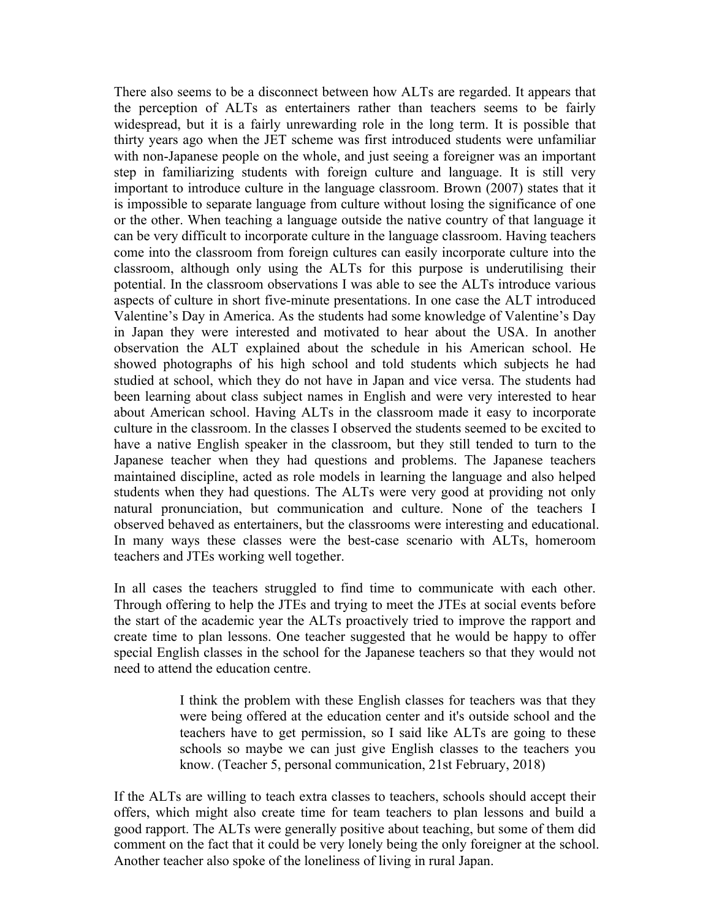There also seems to be a disconnect between how ALTs are regarded. It appears that the perception of ALTs as entertainers rather than teachers seems to be fairly widespread, but it is a fairly unrewarding role in the long term. It is possible that thirty years ago when the JET scheme was first introduced students were unfamiliar with non-Japanese people on the whole, and just seeing a foreigner was an important step in familiarizing students with foreign culture and language. It is still very important to introduce culture in the language classroom. Brown (2007) states that it is impossible to separate language from culture without losing the significance of one or the other. When teaching a language outside the native country of that language it can be very difficult to incorporate culture in the language classroom. Having teachers come into the classroom from foreign cultures can easily incorporate culture into the classroom, although only using the ALTs for this purpose is underutilising their potential. In the classroom observations I was able to see the ALTs introduce various aspects of culture in short five-minute presentations. In one case the ALT introduced Valentine's Day in America. As the students had some knowledge of Valentine's Day in Japan they were interested and motivated to hear about the USA. In another observation the ALT explained about the schedule in his American school. He showed photographs of his high school and told students which subjects he had studied at school, which they do not have in Japan and vice versa. The students had been learning about class subject names in English and were very interested to hear about American school. Having ALTs in the classroom made it easy to incorporate culture in the classroom. In the classes I observed the students seemed to be excited to have a native English speaker in the classroom, but they still tended to turn to the Japanese teacher when they had questions and problems. The Japanese teachers maintained discipline, acted as role models in learning the language and also helped students when they had questions. The ALTs were very good at providing not only natural pronunciation, but communication and culture. None of the teachers I observed behaved as entertainers, but the classrooms were interesting and educational. In many ways these classes were the best-case scenario with ALTs, homeroom teachers and JTEs working well together.

In all cases the teachers struggled to find time to communicate with each other. Through offering to help the JTEs and trying to meet the JTEs at social events before the start of the academic year the ALTs proactively tried to improve the rapport and create time to plan lessons. One teacher suggested that he would be happy to offer special English classes in the school for the Japanese teachers so that they would not need to attend the education centre.

> I think the problem with these English classes for teachers was that they were being offered at the education center and it's outside school and the teachers have to get permission, so I said like ALTs are going to these schools so maybe we can just give English classes to the teachers you know. (Teacher 5, personal communication, 21st February, 2018)

If the ALTs are willing to teach extra classes to teachers, schools should accept their offers, which might also create time for team teachers to plan lessons and build a good rapport. The ALTs were generally positive about teaching, but some of them did comment on the fact that it could be very lonely being the only foreigner at the school. Another teacher also spoke of the loneliness of living in rural Japan.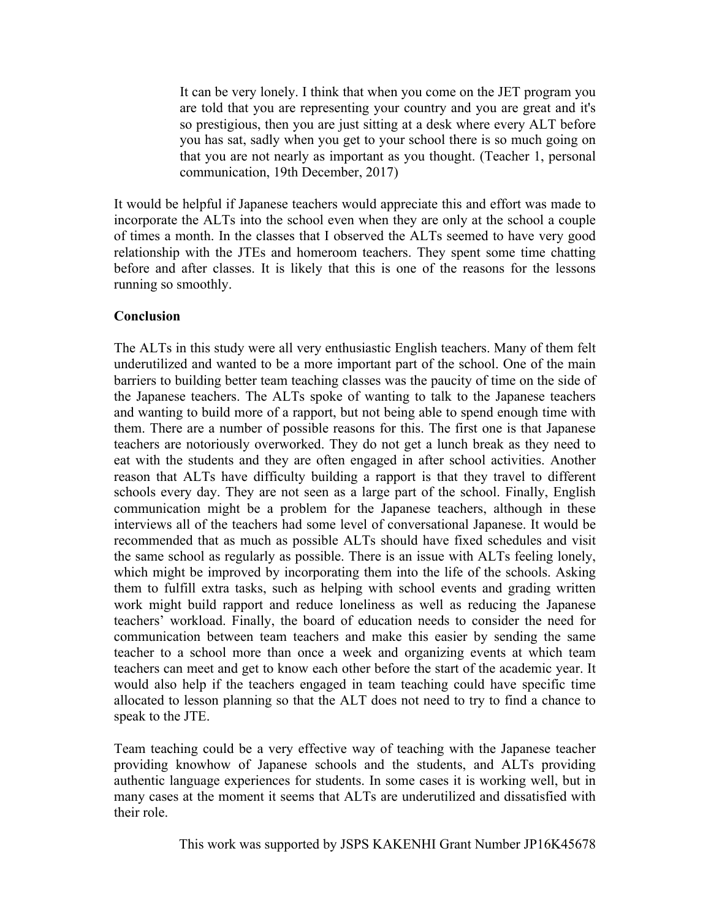It can be very lonely. I think that when you come on the JET program you are told that you are representing your country and you are great and it's so prestigious, then you are just sitting at a desk where every ALT before you has sat, sadly when you get to your school there is so much going on that you are not nearly as important as you thought. (Teacher 1, personal communication, 19th December, 2017)

It would be helpful if Japanese teachers would appreciate this and effort was made to incorporate the ALTs into the school even when they are only at the school a couple of times a month. In the classes that I observed the ALTs seemed to have very good relationship with the JTEs and homeroom teachers. They spent some time chatting before and after classes. It is likely that this is one of the reasons for the lessons running so smoothly.

### **Conclusion**

The ALTs in this study were all very enthusiastic English teachers. Many of them felt underutilized and wanted to be a more important part of the school. One of the main barriers to building better team teaching classes was the paucity of time on the side of the Japanese teachers. The ALTs spoke of wanting to talk to the Japanese teachers and wanting to build more of a rapport, but not being able to spend enough time with them. There are a number of possible reasons for this. The first one is that Japanese teachers are notoriously overworked. They do not get a lunch break as they need to eat with the students and they are often engaged in after school activities. Another reason that ALTs have difficulty building a rapport is that they travel to different schools every day. They are not seen as a large part of the school. Finally, English communication might be a problem for the Japanese teachers, although in these interviews all of the teachers had some level of conversational Japanese. It would be recommended that as much as possible ALTs should have fixed schedules and visit the same school as regularly as possible. There is an issue with ALTs feeling lonely, which might be improved by incorporating them into the life of the schools. Asking them to fulfill extra tasks, such as helping with school events and grading written work might build rapport and reduce loneliness as well as reducing the Japanese teachers' workload. Finally, the board of education needs to consider the need for communication between team teachers and make this easier by sending the same teacher to a school more than once a week and organizing events at which team teachers can meet and get to know each other before the start of the academic year. It would also help if the teachers engaged in team teaching could have specific time allocated to lesson planning so that the ALT does not need to try to find a chance to speak to the JTE.

Team teaching could be a very effective way of teaching with the Japanese teacher providing knowhow of Japanese schools and the students, and ALTs providing authentic language experiences for students. In some cases it is working well, but in many cases at the moment it seems that ALTs are underutilized and dissatisfied with their role.

 This work was supported by JSPS KAKENHI Grant Number JP16K45678